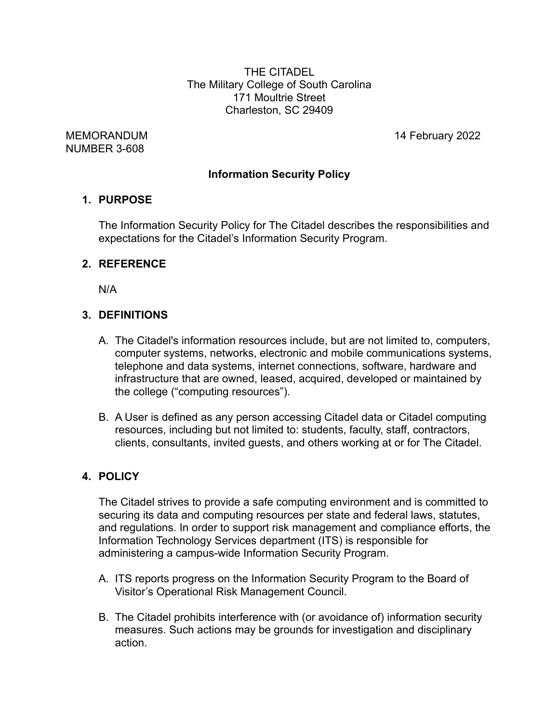THE CITADEL The Military College of South Carolina 171 Moultrie Street Charleston, SC 29409

NUMBER 3-608

MEMORANDUM 14 February 2022

## **Information Security Policy**

#### **1. PURPOSE**

The Information Security Policy for The Citadel describes the responsibilities and expectations for the Citadel's Information Security Program.

## **2. REFERENCE**

N/A

## **3. DEFINITIONS**

- A. The Citadel's information resources include, but are not limited to, computers, computer systems, networks, electronic and mobile communications systems, telephone and data systems, internet connections, software, hardware and infrastructure that are owned, leased, acquired, developed or maintained by the college ("computing resources").
- B. A User is defined as any person accessing Citadel data or Citadel computing resources, including but not limited to: students, faculty, staff, contractors, clients, consultants, invited guests, and others working at or for The Citadel.

## **4. POLICY**

The Citadel strives to provide a safe computing environment and is committed to securing its data and computing resources per state and federal laws, statutes, and regulations. In order to support risk management and compliance efforts, the Information Technology Services department (ITS) is responsible for administering a campus-wide Information Security Program.

- A. ITS reports progress on the Information Security Program to the Board of Visitor's Operational Risk Management Council.
- B. The Citadel prohibits interference with (or avoidance of) information security measures. Such actions may be grounds for investigation and disciplinary action.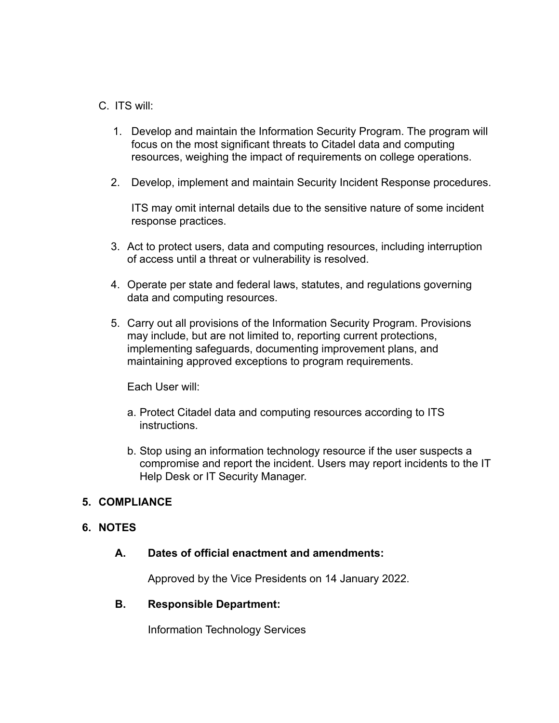### C. ITS will:

- 1. Develop and maintain the Information Security Program. The program will focus on the most significant threats to Citadel data and computing resources, weighing the impact of requirements on college operations.
- 2. Develop, implement and maintain Security Incident Response procedures.

ITS may omit internal details due to the sensitive nature of some incident response practices.

- 3. Act to protect users, data and computing resources, including interruption of access until a threat or vulnerability is resolved.
- 4. Operate per state and federal laws, statutes, and regulations governing data and computing resources.
- 5. Carry out all provisions of the Information Security Program. Provisions may include, but are not limited to, reporting current protections, implementing safeguards, documenting improvement plans, and maintaining approved exceptions to program requirements.

Each User will:

- a. Protect Citadel data and computing resources according to ITS instructions.
- b. Stop using an information technology resource if the user suspects a compromise and report the incident. Users may report incidents to the IT Help Desk or IT Security Manager.

#### **5. COMPLIANCE**

## **6. NOTES**

#### **A. Dates of official enactment and amendments:**

Approved by the Vice Presidents on 14 January 2022.

#### **B. Responsible Department:**

Information Technology Services